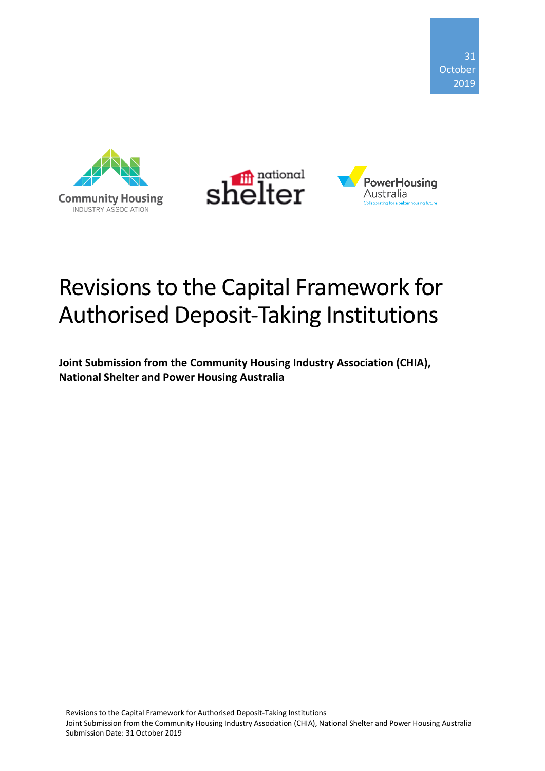





# Revisions to the Capital Framework for Authorised Deposit-Taking Institutions

**Joint Submission from the Community Housing Industry Association (CHIA), National Shelter and Power Housing Australia**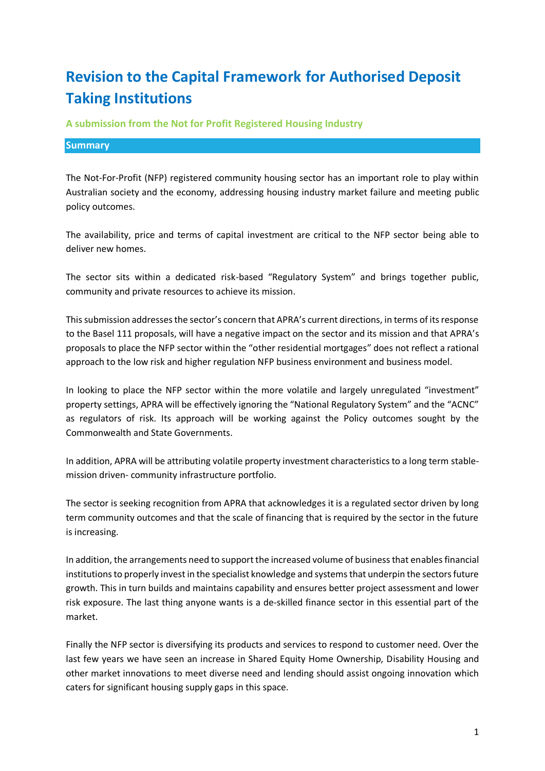## **Revision to the Capital Framework for Authorised Deposit Taking Institutions**

**A submission from the Not for Profit Registered Housing Industry**

#### **Summary**

The Not-For-Profit (NFP) registered community housing sector has an important role to play within Australian society and the economy, addressing housing industry market failure and meeting public policy outcomes.

The availability, price and terms of capital investment are critical to the NFP sector being able to deliver new homes.

The sector sits within a dedicated risk-based "Regulatory System" and brings together public, community and private resources to achieve its mission.

This submission addresses the sector's concern that APRA's current directions, in terms of its response to the Basel 111 proposals, will have a negative impact on the sector and its mission and that APRA's proposals to place the NFP sector within the "other residential mortgages" does not reflect a rational approach to the low risk and higher regulation NFP business environment and business model.

In looking to place the NFP sector within the more volatile and largely unregulated "investment" property settings, APRA will be effectively ignoring the "National Regulatory System" and the "ACNC" as regulators of risk. Its approach will be working against the Policy outcomes sought by the Commonwealth and State Governments.

In addition, APRA will be attributing volatile property investment characteristics to a long term stablemission driven- community infrastructure portfolio.

The sector is seeking recognition from APRA that acknowledges it is a regulated sector driven by long term community outcomes and that the scale of financing that is required by the sector in the future is increasing.

In addition, the arrangements need to support the increased volume of business that enables financial institutions to properly invest in the specialist knowledge and systems that underpin the sectors future growth. This in turn builds and maintains capability and ensures better project assessment and lower risk exposure. The last thing anyone wants is a de-skilled finance sector in this essential part of the market.

Finally the NFP sector is diversifying its products and services to respond to customer need. Over the last few years we have seen an increase in Shared Equity Home Ownership, Disability Housing and other market innovations to meet diverse need and lending should assist ongoing innovation which caters for significant housing supply gaps in this space.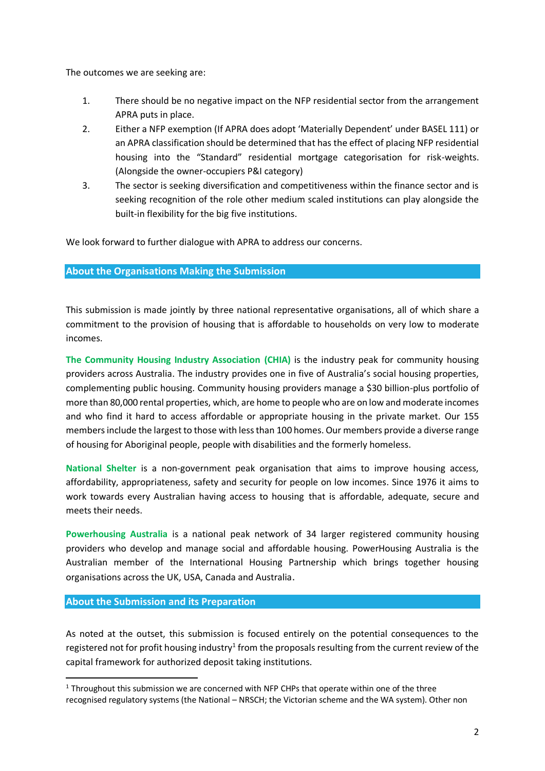The outcomes we are seeking are:

- 1. There should be no negative impact on the NFP residential sector from the arrangement APRA puts in place.
- 2. Either a NFP exemption (If APRA does adopt 'Materially Dependent' under BASEL 111) or an APRA classification should be determined that has the effect of placing NFP residential housing into the "Standard" residential mortgage categorisation for risk-weights. (Alongside the owner-occupiers P&I category)
- 3. The sector is seeking diversification and competitiveness within the finance sector and is seeking recognition of the role other medium scaled institutions can play alongside the built-in flexibility for the big five institutions.

We look forward to further dialogue with APRA to address our concerns.

#### **About the Organisations Making the Submission**

This submission is made jointly by three national representative organisations, all of which share a commitment to the provision of housing that is affordable to households on very low to moderate incomes.

**The Community Housing Industry Association (CHIA)** is the industry peak for community housing providers across Australia. The industry provides one in five of Australia's social housing properties, complementing public housing. Community housing providers manage a \$30 billion-plus portfolio of more than 80,000 rental properties, which, are home to people who are on low and moderate incomes and who find it hard to access affordable or appropriate housing in the private market. Our 155 members include the largest to those with less than 100 homes. Our members provide a diverse range of housing for Aboriginal people, people with disabilities and the formerly homeless.

**National Shelter** is a non-government peak organisation that aims to improve housing access, affordability, appropriateness, safety and security for people on low incomes. Since 1976 it aims to work towards every Australian having access to housing that is affordable, adequate, secure and meets their needs.

**Powerhousing Australia** is a national peak network of 34 larger registered community housing providers who develop and manage social and affordable housing. PowerHousing Australia is the Australian member of the International Housing Partnership which brings together housing organisations across the UK, USA, Canada and Australia.

**About the Submission and its Preparation**

As noted at the outset, this submission is focused entirely on the potential consequences to the registered not for profit housing industry<sup>1</sup> from the proposals resulting from the current review of the capital framework for authorized deposit taking institutions.

 $1$  Throughout this submission we are concerned with NFP CHPs that operate within one of the three recognised regulatory systems (the National – NRSCH; the Victorian scheme and the WA system). Other non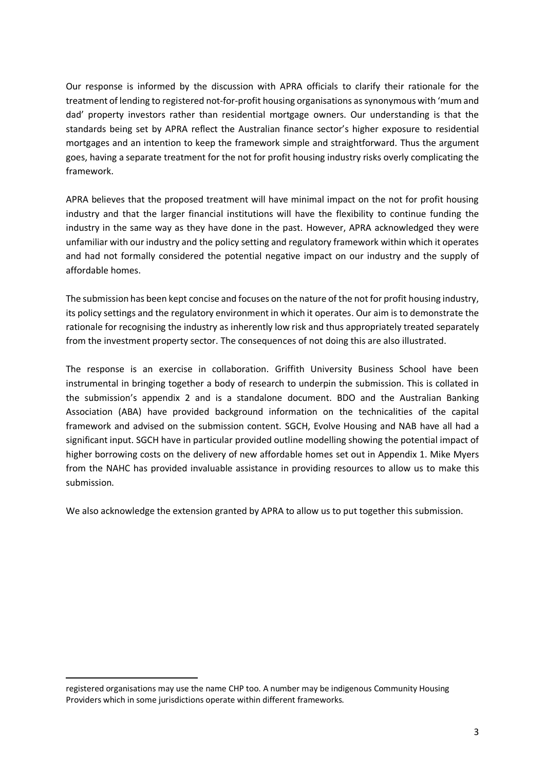Our response is informed by the discussion with APRA officials to clarify their rationale for the treatment of lending to registered not-for-profit housing organisations assynonymous with 'mum and dad' property investors rather than residential mortgage owners. Our understanding is that the standards being set by APRA reflect the Australian finance sector's higher exposure to residential mortgages and an intention to keep the framework simple and straightforward. Thus the argument goes, having a separate treatment for the not for profit housing industry risks overly complicating the framework.

APRA believes that the proposed treatment will have minimal impact on the not for profit housing industry and that the larger financial institutions will have the flexibility to continue funding the industry in the same way as they have done in the past. However, APRA acknowledged they were unfamiliar with our industry and the policy setting and regulatory framework within which it operates and had not formally considered the potential negative impact on our industry and the supply of affordable homes.

The submission has been kept concise and focuses on the nature of the not for profit housing industry, its policy settings and the regulatory environment in which it operates. Our aim is to demonstrate the rationale for recognising the industry as inherently low risk and thus appropriately treated separately from the investment property sector. The consequences of not doing this are also illustrated.

The response is an exercise in collaboration. Griffith University Business School have been instrumental in bringing together a body of research to underpin the submission. This is collated in the submission's appendix 2 and is a standalone document. BDO and the Australian Banking Association (ABA) have provided background information on the technicalities of the capital framework and advised on the submission content. SGCH, Evolve Housing and NAB have all had a significant input. SGCH have in particular provided outline modelling showing the potential impact of higher borrowing costs on the delivery of new affordable homes set out in Appendix 1. Mike Myers from the NAHC has provided invaluable assistance in providing resources to allow us to make this submission.

We also acknowledge the extension granted by APRA to allow us to put together this submission.

registered organisations may use the name CHP too. A number may be indigenous Community Housing Providers which in some jurisdictions operate within different frameworks.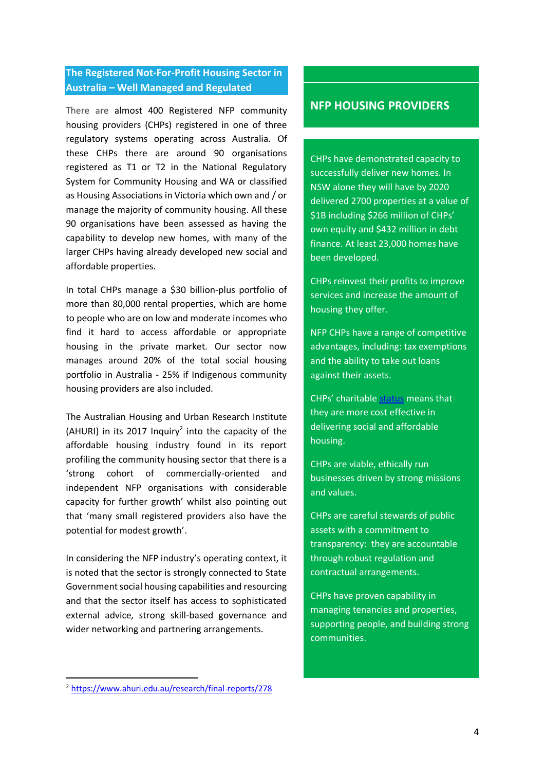## **The Registered Not-For-Profit Housing Sector in Australia – Well Managed and Regulated**

There are almost 400 Registered NFP community housing providers (CHPs) registered in one of three regulatory systems operating across Australia. Of these CHPs there are around 90 organisations registered as T1 or T2 in the National Regulatory System for Community Housing and WA or classified as Housing Associations in Victoria which own and / or manage the majority of community housing. All these 90 organisations have been assessed as having the capability to develop new homes, with many of the larger CHPs having already developed new social and affordable properties.

In total CHPs manage a \$30 billion-plus portfolio of more than 80,000 rental properties, which are home to people who are on low and moderate incomes who find it hard to access affordable or appropriate housing in the private market. Our sector now manages around 20% of the total social housing portfolio in Australia - 25% if Indigenous community housing providers are also included.

The Australian Housing and Urban Research Institute (AHURI) in its 2017 Inquiry<sup>2</sup> into the capacity of the affordable housing industry found in its report profiling the community housing sector that there is a 'strong cohort of commercially-oriented and independent NFP organisations with considerable capacity for further growth' whilst also pointing out that 'many small registered providers also have the potential for modest growth'.

In considering the NFP industry's operating context, it is noted that the sector is strongly connected to State Government social housing capabilities and resourcing and that the sector itself has access to sophisticated external advice, strong skill-based governance and wider networking and partnering arrangements.

#### services and increase the amount of housing they offer.

NFP CHPs have a range of competitive advantages, including: tax exemptions and the ability to take out loans against their assets.

CHPs reinvest their profits to improve

CHPs' charitable [status](https://cityfutures.be.unsw.edu.au/research/projects/how-can-australian-build-rent-product-contribute-urban-renewal-and-affordable-housing-supply/) means that they are more cost effective in delivering social and affordable housing.

CHPs are viable, ethically run businesses driven by strong missions and values.

CHPs are careful stewards of public assets with a commitment to transparency: they are accountable through robust regulation and contractual arrangements.

CHPs have proven capability in managing tenancies and properties, supporting people, and building strong communities.

## **NFP HOUSING PROVIDERS**

CHPs have demonstrated capacity to successfully deliver new homes. In NSW alone they will have by 2020 delivered 2700 properties at a value of \$1B including \$266 million of CHPs' own equity and \$432 million in debt finance. At least 23,000 homes have

been developed.

<sup>2</sup> <https://www.ahuri.edu.au/research/final-reports/278>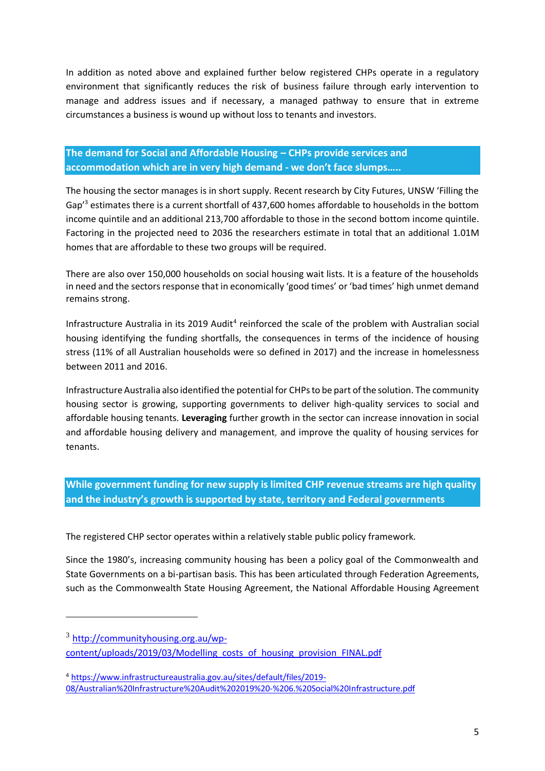In addition as noted above and explained further below registered CHPs operate in a regulatory environment that significantly reduces the risk of business failure through early intervention to manage and address issues and if necessary, a managed pathway to ensure that in extreme circumstances a business is wound up without loss to tenants and investors.

**The demand for Social and Affordable Housing – CHPs provide services and accommodation which are in very high demand - we don't face slumps…..**

The housing the sector manages is in short supply. Recent research by City Futures, UNSW 'Filling the Gap'<sup>3</sup> estimates there is a current shortfall of 437,600 homes affordable to households in the bottom income quintile and an additional 213,700 affordable to those in the second bottom income quintile. Factoring in the projected need to 2036 the researchers estimate in total that an additional 1.01M homes that are affordable to these two groups will be required.

There are also over 150,000 households on social housing wait lists. It is a feature of the households in need and the sectors response that in economically 'good times' or 'bad times' high unmet demand remains strong.

Infrastructure Australia in its 2019 Audit<sup>4</sup> reinforced the scale of the problem with Australian social housing identifying the funding shortfalls, the consequences in terms of the incidence of housing stress (11% of all Australian households were so defined in 2017) and the increase in homelessness between 2011 and 2016.

Infrastructure Australia also identified the potential for CHPs to be part of the solution. The community housing sector is growing, supporting governments to deliver high-quality services to social and affordable housing tenants. **Leveraging** further growth in the sector can increase innovation in social and affordable housing delivery and management, and improve the quality of housing services for tenants.

**While government funding for new supply is limited CHP revenue streams are high quality and the industry's growth is supported by state, territory and Federal governments**

The registered CHP sector operates within a relatively stable public policy framework.

Since the 1980's, increasing community housing has been a policy goal of the Commonwealth and State Governments on a bi-partisan basis. This has been articulated through Federation Agreements, such as the Commonwealth State Housing Agreement, the National Affordable Housing Agreement

<sup>3</sup> [http://communityhousing.org.au/wp-](http://communityhousing.org.au/wp-content/uploads/2019/03/Modelling_costs_of_housing_provision_FINAL.pdf)

[content/uploads/2019/03/Modelling\\_costs\\_of\\_housing\\_provision\\_FINAL.pdf](http://communityhousing.org.au/wp-content/uploads/2019/03/Modelling_costs_of_housing_provision_FINAL.pdf)

<sup>4</sup> [https://www.infrastructureaustralia.gov.au/sites/default/files/2019-](https://www.infrastructureaustralia.gov.au/sites/default/files/2019-08/Australian%20Infrastructure%20Audit%202019%20-%206.%20Social%20Infrastructure.pdf) [08/Australian%20Infrastructure%20Audit%202019%20-%206.%20Social%20Infrastructure.pdf](https://www.infrastructureaustralia.gov.au/sites/default/files/2019-08/Australian%20Infrastructure%20Audit%202019%20-%206.%20Social%20Infrastructure.pdf)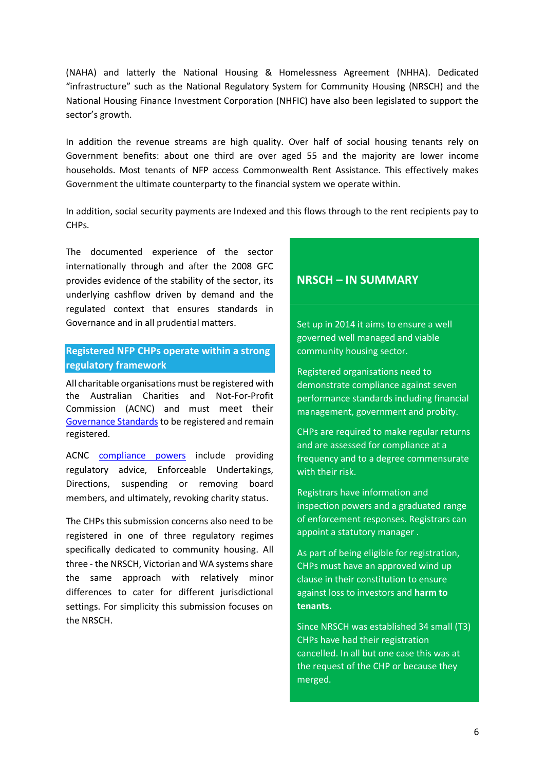(NAHA) and latterly the National Housing & Homelessness Agreement (NHHA). Dedicated "infrastructure" such as the National Regulatory System for Community Housing (NRSCH) and the National Housing Finance Investment Corporation (NHFIC) have also been legislated to support the sector's growth.

In addition the revenue streams are high quality. Over half of social housing tenants rely on Government benefits: about one third are over aged 55 and the majority are lower income households. Most tenants of NFP access Commonwealth Rent Assistance. This effectively makes Government the ultimate counterparty to the financial system we operate within.

In addition, social security payments are Indexed and this flows through to the rent recipients pay to CHPs.

The documented experience of the sector internationally through and after the 2008 GFC provides evidence of the stability of the sector, its underlying cashflow driven by demand and the regulated context that ensures standards in Governance and in all prudential matters.

## **Registered NFP CHPs operate within a strong regulatory framework**

All charitable organisations must be registered with the Australian Charities and Not-For-Profit Commission (ACNC) and must [meet their](https://www.acnc.gov.au/for-charities/manage-your-charity/governance-hub/governance-standards)  [Governance Standards](https://www.acnc.gov.au/for-charities/manage-your-charity/governance-hub/governance-standards) to be registered and remain registered.

ACNC [compliance](https://www.acnc.gov.au/raise-concern/regulating-charities/how-we-ensure-charities-meet-their-obligations) powers include providing regulatory advice, Enforceable Undertakings, Directions, suspending or removing board members, and ultimately, revoking charity status.

The CHPs this submission concerns also need to be registered in one of three regulatory regimes specifically dedicated to community housing. All three - the NRSCH, Victorian and WA systems share the same approach with relatively minor differences to cater for different jurisdictional settings. For simplicity this submission focuses on the NRSCH.

## **NRSCH – IN SUMMARY**

Set up in 2014 it aims to ensure a well governed well managed and viable community housing sector.

Registered organisations need to demonstrate compliance against seven performance standards including financial management, government and probity.

CHPs are required to make regular returns and are assessed for compliance at a frequency and to a degree commensurate with their risk.

Registrars have information and inspection powers and a graduated range of enforcement responses. Registrars can appoint a statutory manager .

As part of being eligible for registration, CHPs must have an approved wind up clause in their constitution to ensure against loss to investors and **harm to tenants.**

Since NRSCH was established 34 small (T3) CHPs have had their registration cancelled. In all but one case this was at the request of the CHP or because they merged.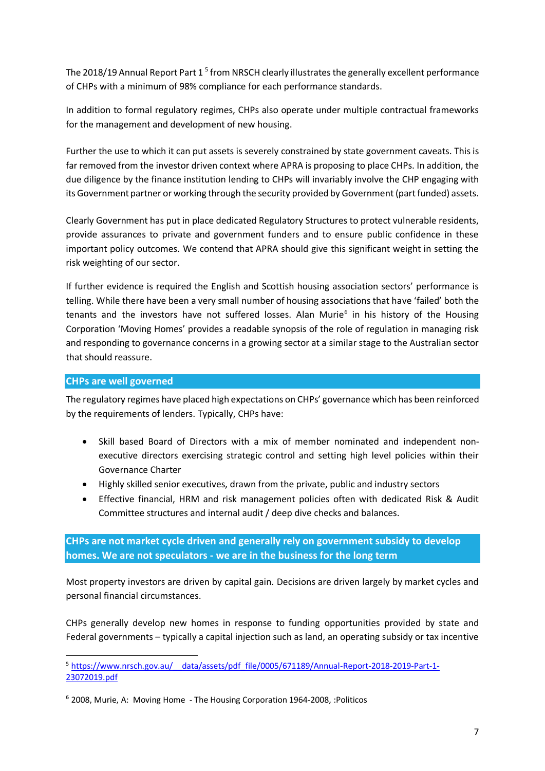The 2018/19 Annual Report Part 1<sup>5</sup> from NRSCH clearly illustrates the generally excellent performance of CHPs with a minimum of 98% compliance for each performance standards.

In addition to formal regulatory regimes, CHPs also operate under multiple contractual frameworks for the management and development of new housing.

Further the use to which it can put assets is severely constrained by state government caveats. This is far removed from the investor driven context where APRA is proposing to place CHPs. In addition, the due diligence by the finance institution lending to CHPs will invariably involve the CHP engaging with its Government partner or working through the security provided by Government (part funded) assets.

Clearly Government has put in place dedicated Regulatory Structures to protect vulnerable residents, provide assurances to private and government funders and to ensure public confidence in these important policy outcomes. We contend that APRA should give this significant weight in setting the risk weighting of our sector.

If further evidence is required the English and Scottish housing association sectors' performance is telling. While there have been a very small number of housing associations that have 'failed' both the tenants and the investors have not suffered losses. Alan Murie<sup>6</sup> in his history of the Housing Corporation 'Moving Homes' provides a readable synopsis of the role of regulation in managing risk and responding to governance concerns in a growing sector at a similar stage to the Australian sector that should reassure.

#### **CHPs are well governed**

The regulatory regimes have placed high expectations on CHPs' governance which has been reinforced by the requirements of lenders. Typically, CHPs have:

- Skill based Board of Directors with a mix of member nominated and independent nonexecutive directors exercising strategic control and setting high level policies within their Governance Charter
- Highly skilled senior executives, drawn from the private, public and industry sectors
- Effective financial, HRM and risk management policies often with dedicated Risk & Audit Committee structures and internal audit / deep dive checks and balances.

**CHPs are not market cycle driven and generally rely on government subsidy to develop homes. We are not speculators - we are in the business for the long term**

Most property investors are driven by capital gain. Decisions are driven largely by market cycles and personal financial circumstances.

CHPs generally develop new homes in response to funding opportunities provided by state and Federal governments – typically a capital injection such as land, an operating subsidy or tax incentive

<sup>5</sup> https://www.nrsch.gov.au/ data/assets/pdf file/0005/671189/Annual-Report-2018-2019-Part-1-[23072019.pdf](https://www.nrsch.gov.au/__data/assets/pdf_file/0005/671189/Annual-Report-2018-2019-Part-1-23072019.pdf)

<sup>6</sup> 2008, Murie, A: Moving Home - The Housing Corporation 1964-2008, :Politicos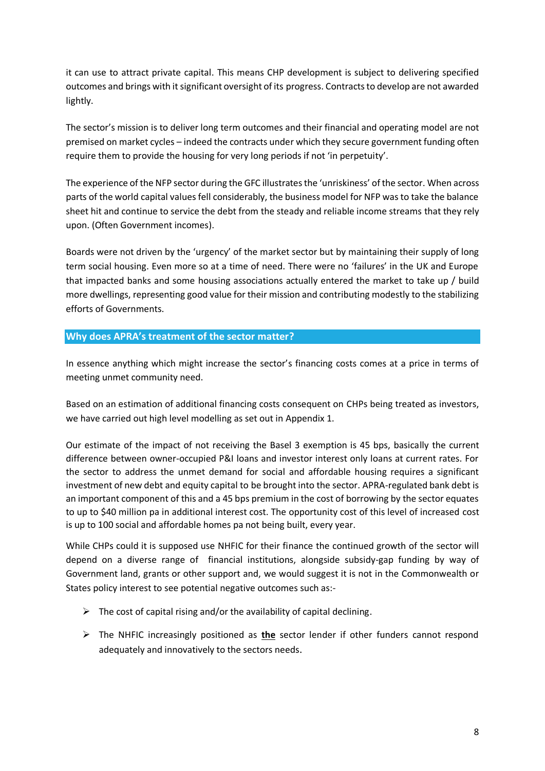it can use to attract private capital. This means CHP development is subject to delivering specified outcomes and brings with it significant oversight of its progress. Contracts to develop are not awarded lightly.

The sector's mission is to deliver long term outcomes and their financial and operating model are not premised on market cycles – indeed the contracts under which they secure government funding often require them to provide the housing for very long periods if not 'in perpetuity'.

The experience of the NFP sector during the GFC illustrates the 'unriskiness' of the sector. When across parts of the world capital values fell considerably, the business model for NFP was to take the balance sheet hit and continue to service the debt from the steady and reliable income streams that they rely upon. (Often Government incomes).

Boards were not driven by the 'urgency' of the market sector but by maintaining their supply of long term social housing. Even more so at a time of need. There were no 'failures' in the UK and Europe that impacted banks and some housing associations actually entered the market to take up / build more dwellings, representing good value for their mission and contributing modestly to the stabilizing efforts of Governments.

#### **Why does APRA's treatment of the sector matter?**

In essence anything which might increase the sector's financing costs comes at a price in terms of meeting unmet community need.

Based on an estimation of additional financing costs consequent on CHPs being treated as investors, we have carried out high level modelling as set out in Appendix 1.

Our estimate of the impact of not receiving the Basel 3 exemption is 45 bps, basically the current difference between owner-occupied P&I loans and investor interest only loans at current rates. For the sector to address the unmet demand for social and affordable housing requires a significant investment of new debt and equity capital to be brought into the sector. APRA-regulated bank debt is an important component of this and a 45 bps premium in the cost of borrowing by the sector equates to up to \$40 million pa in additional interest cost. The opportunity cost of this level of increased cost is up to 100 social and affordable homes pa not being built, every year.

While CHPs could it is supposed use NHFIC for their finance the continued growth of the sector will depend on a diverse range of financial institutions, alongside subsidy-gap funding by way of Government land, grants or other support and, we would suggest it is not in the Commonwealth or States policy interest to see potential negative outcomes such as:-

- $\triangleright$  The cost of capital rising and/or the availability of capital declining.
- ➢ The NHFIC increasingly positioned as **the** sector lender if other funders cannot respond adequately and innovatively to the sectors needs.